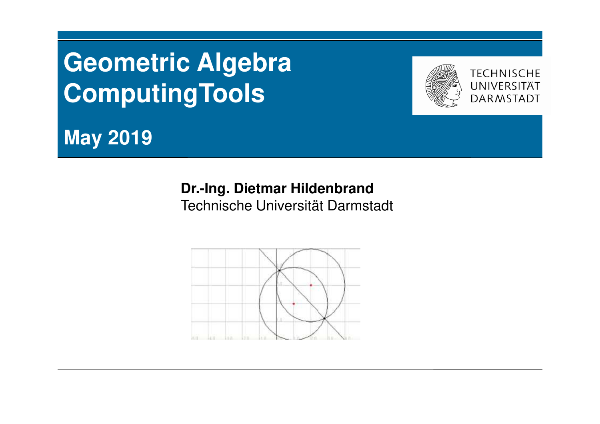# **Geometric Algebra ComputingTools**



**May 2019**

## **Dr.-Ing. Dietmar Hildenbrand**Technische Universität Darmstadt

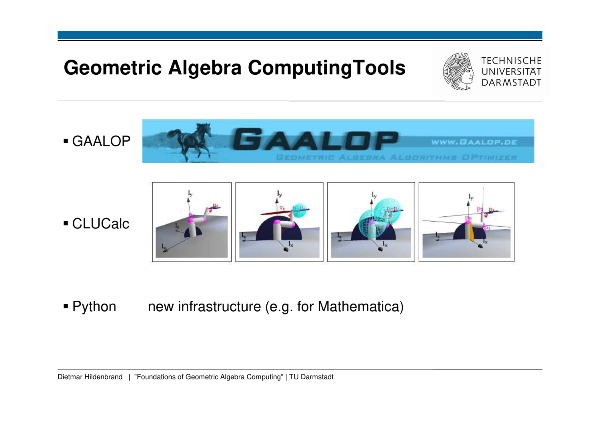## **Geometric Algebra ComputingTools**



GAALOP



CLUCalc



 $\blacksquare$  Python new infrastructure (e.g. for Mathematica)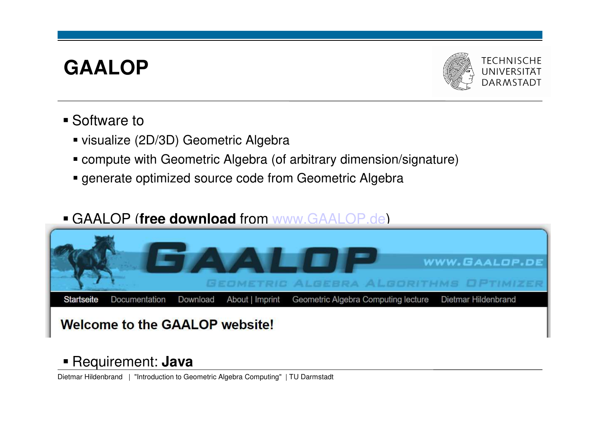## **GAALOP**



- Software to
	- visualize (2D/3D) Geometric Algebra
	- compute with Geometric Algebra (of arbitrary dimension/signature)
	- generate optimized source code from Geometric Algebra

## GAALOP (**free download** from www.GAALOP.de)



## Requirement: **Java**

Dietmar Hildenbrand | "Introduction to Geometric Algebra Computing" | TU Darmstadt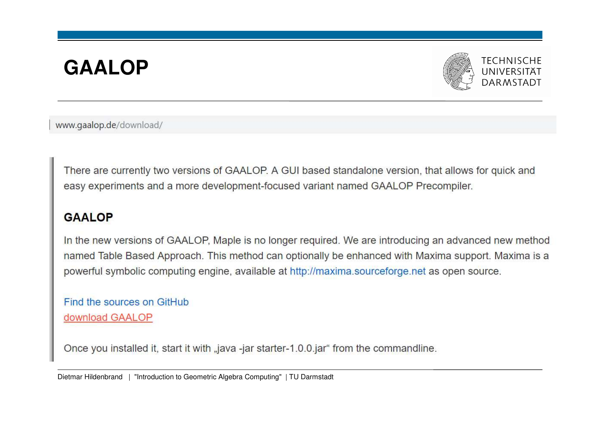# **GAALOP**



www.gaalop.de/download/

There are currently two versions of GAALOP. A GUI based standalone version, that allows for quick and easy experiments and a more development-focused variant named GAALOP Precompiler.

## **GAALOP**

In the new versions of GAALOP, Maple is no longer required. We are introducing an advanced new method named Table Based Approach. This method can optionally be enhanced with Maxima support. Maxima is a powerful symbolic computing engine, available at http://maxima.sourceforge.net as open source.

Find the sources on GitHub download GAALOP

Once you installed it, start it with "java -jar starter-1.0.0.jar" from the commandline.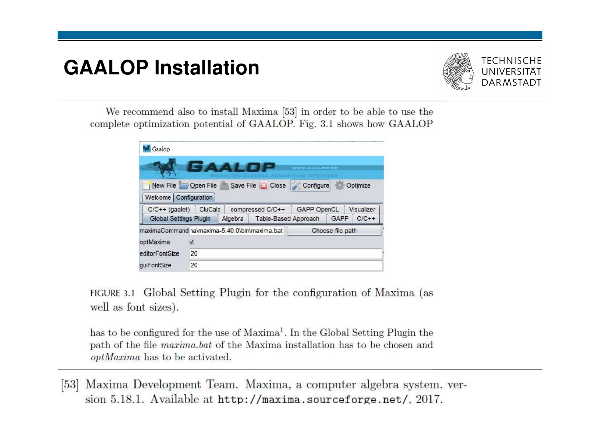## **GAALOP Installation**



We recommend also to install Maxima [53] in order to be able to use the complete optimization potential of GAALOP. Fig. 3.1 shows how GAALOP

| Gaalop                                        |    |                  |                               | <b>WWW.BAALOP.PE</b> |                  |            |
|-----------------------------------------------|----|------------------|-------------------------------|----------------------|------------------|------------|
| New File Open File<br>Welcome Configuration   |    |                  | Save File   Close   Configure |                      |                  | Optimize   |
| $C/C++$ (gaalet)<br>CluCalc                   |    | compressed C/C++ |                               | GAPP OpenCL          |                  | Visualizer |
| <b>Global Settings Plugin</b>                 |    | Algebra          | Table-Based Approach          |                      | GAPP             | $C/C++$    |
| maximaCommand ha\maxima-5.40.0\bin\maxima.bat |    |                  |                               |                      | Choose file path |            |
|                                               |    |                  |                               |                      |                  |            |
|                                               | M  |                  |                               |                      |                  |            |
| optMaxima<br>editorFontSize                   | 20 |                  |                               |                      |                  |            |

FIGURE 3.1 Global Setting Plugin for the configuration of Maxima (as well as font sizes).

has to be configured for the use of Maxima<sup>1</sup>. In the Global Setting Plugin the path of the file *maxima.bat* of the Maxima installation has to be chosen and *optMaxima* has to be activated.

[53] Maxima Development Team. Maxima, a computer algebra system. version 5.18.1. Available at http://maxima.sourceforge.net/, 2017.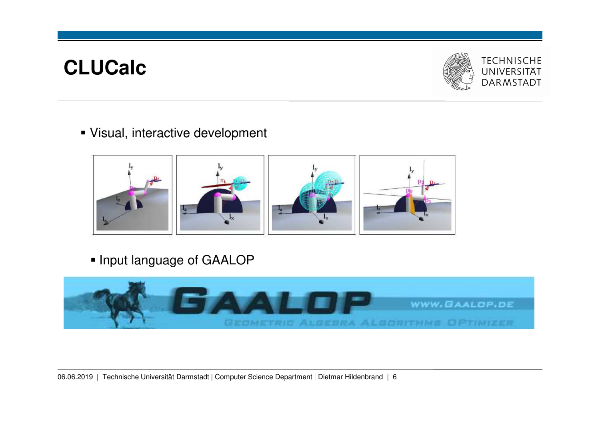

Visual, interactive development



**• Input language of GAALOP** 

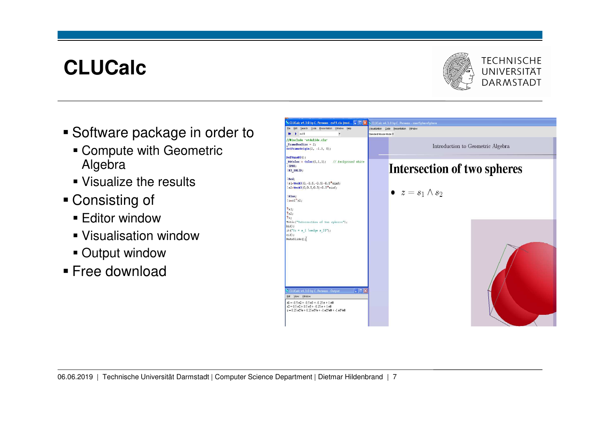

- Software package in order to
	- Compute with Geometric Algebra
	- Visualize the results
- Consisting of
	- Editor window
	- Visualisation window
	- Output window
- Free download

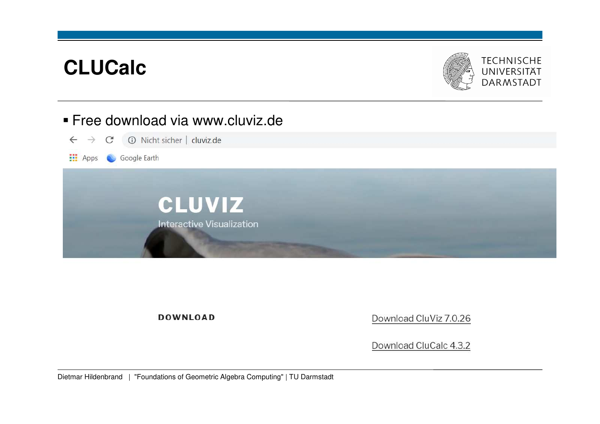

## Free download via www.cluviz.de



**DOWNLOAD** 

Download CluViz 7.0.26

Download CluCalc 4.3.2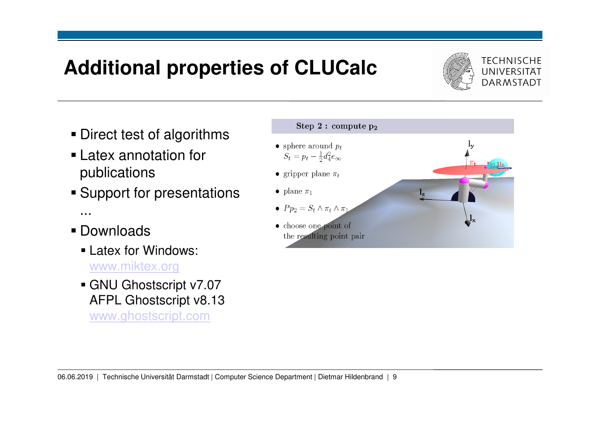# **Additional properties of CLUCalc**



- Direct test of algorithms
- Latex annotation for publications
- **Support for presentations** ...
- Downloads
	- Latex for Windows: www.miktex.org
	- GNU Ghostscript v7.07 AFPL Ghostscript v8.13 www.ghostscript.com

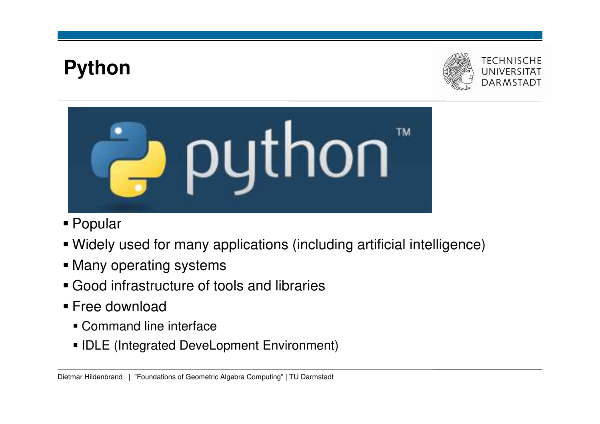# **Python**





- Popular
- Widely used for many applications (including artificial intelligence)
- Many operating systems
- Good infrastructure of tools and libraries
- Free download
	- Command line interface
	- **IDLE** (Integrated DeveLopment Environment)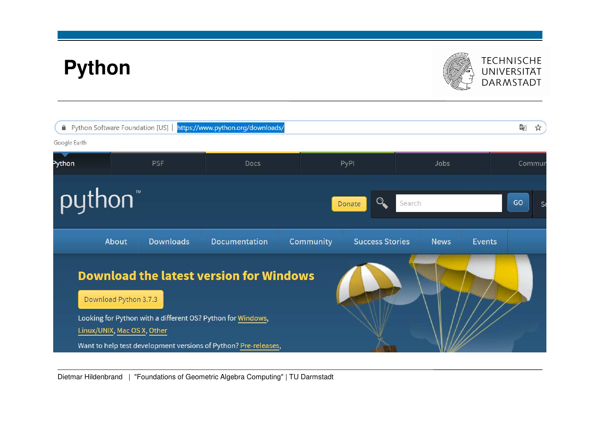# **Python**



# TECHNISCHE<br>UNIVERSITÄT<br>DARMSTADT

|                      | Python Software Foundation [US]                      |                  | https://www.python.org/downloads/                                                                                                                                                |           |                        |             |               | G <sub>K</sub><br>$\frac{1}{2}$ |
|----------------------|------------------------------------------------------|------------------|----------------------------------------------------------------------------------------------------------------------------------------------------------------------------------|-----------|------------------------|-------------|---------------|---------------------------------|
| Google Earth         |                                                      |                  |                                                                                                                                                                                  |           |                        |             |               |                                 |
| Python<br><b>PSF</b> |                                                      | Docs             |                                                                                                                                                                                  | PyPI      | Jobs                   |             | Commur        |                                 |
| python <sup>"</sup>  |                                                      |                  |                                                                                                                                                                                  |           | Donate                 | Search      |               | GO<br>S                         |
|                      | About                                                | <b>Downloads</b> | Documentation                                                                                                                                                                    | Community | <b>Success Stories</b> | <b>News</b> | <b>Events</b> |                                 |
|                      | Download Python 3.7.3<br>Linux/UNIX, Mac OS X, Other |                  | <b>Download the latest version for Windows</b><br>Looking for Python with a different OS? Python for Windows,<br>Want to help test development versions of Python? Pre-releases, |           |                        |             |               |                                 |

Dietmar Hildenbrand | "Foundations of Geometric Algebra Computing" | TU Darmstadt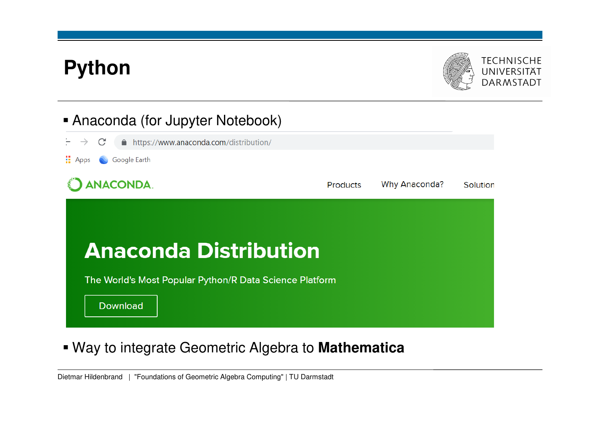# **Python**



## Anaconda (for Jupyter Notebook)



Way to integrate Geometric Algebra to **Mathematica**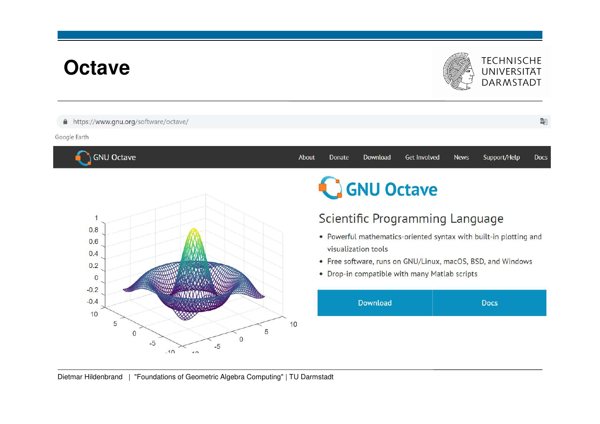## **Octave**

## **TECHNISCHE** UNIVERSITÄT **DARMSTADT**

### A https://www.gnu.org/software/octave/

### Google Earth

**GNU Octave** 



### About Donate Download Get Involved **News** Support/Help **Docs**

**GNU Octave** 

## Scientific Programming Language

- Powerful mathematics-oriented syntax with built-in plotting and visualization tools
- Free software, runs on GNU/Linux, macOS, BSD, and Windows
- Drop-in compatible with many Matlab scripts



Dietmar Hildenbrand | "Foundations of Geometric Algebra Computing" | TU Darmstadt

图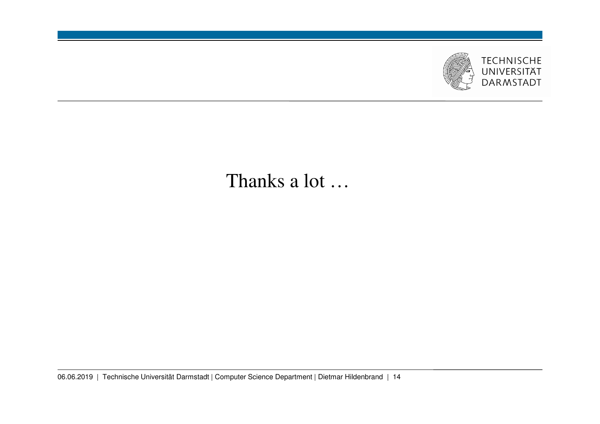

## Thanks a lot …

06.06.2019 | Technische Universität Darmstadt | Computer Science Department | Dietmar Hildenbrand | 14